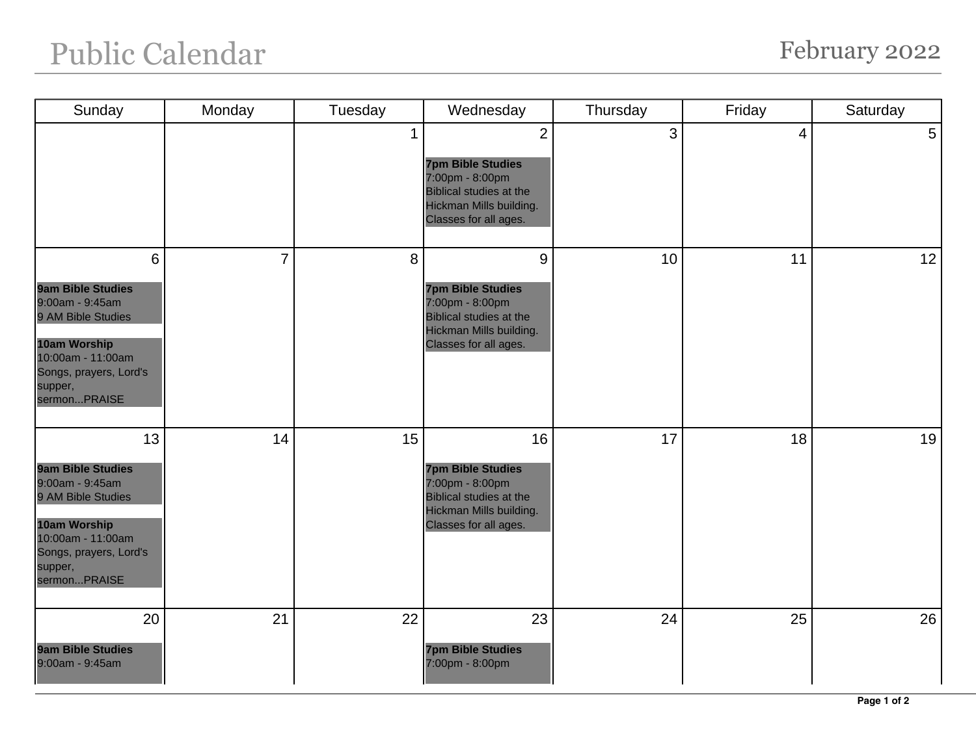## Public Calendar February 2022

| Sunday                                                                                                                                                                   | Monday         | Tuesday      | Wednesday                                                                                                                                           | Thursday | Friday | Saturday       |
|--------------------------------------------------------------------------------------------------------------------------------------------------------------------------|----------------|--------------|-----------------------------------------------------------------------------------------------------------------------------------------------------|----------|--------|----------------|
|                                                                                                                                                                          |                | $\mathbf{1}$ | $\overline{2}$<br><b>7pm Bible Studies</b><br>7:00pm - 8:00pm<br><b>Biblical studies at the</b><br>Hickman Mills building.<br>Classes for all ages. | 3        | 4      | 5 <sup>1</sup> |
| 6<br><b>9am Bible Studies</b><br>9:00am - 9:45am<br>9 AM Bible Studies<br>10am Worship<br>10:00am - 11:00am<br>Songs, prayers, Lord's<br>supper,<br>sermonPRAISE         | $\overline{7}$ | 8            | 9<br><b>7pm Bible Studies</b><br>7:00pm - 8:00pm<br><b>Biblical studies at the</b><br>Hickman Mills building.<br>Classes for all ages.              | 10       | 11     | 12             |
| 13<br><b>9am Bible Studies</b><br>9:00am - 9:45am<br>9 AM Bible Studies<br><b>10am Worship</b><br>10:00am - 11:00am<br>Songs, prayers, Lord's<br>supper,<br>sermonPRAISE | 14             | 15           | 16<br><b>7pm Bible Studies</b><br>7:00pm - 8:00pm<br><b>Biblical studies at the</b><br>Hickman Mills building.<br>Classes for all ages.             | 17       | 18     | 19             |
| 20<br><b>9am Bible Studies</b><br>9:00am - 9:45am                                                                                                                        | 21             | 22           | 23<br><b>7pm Bible Studies</b><br>7:00pm - 8:00pm                                                                                                   | 24       | 25     | 26             |